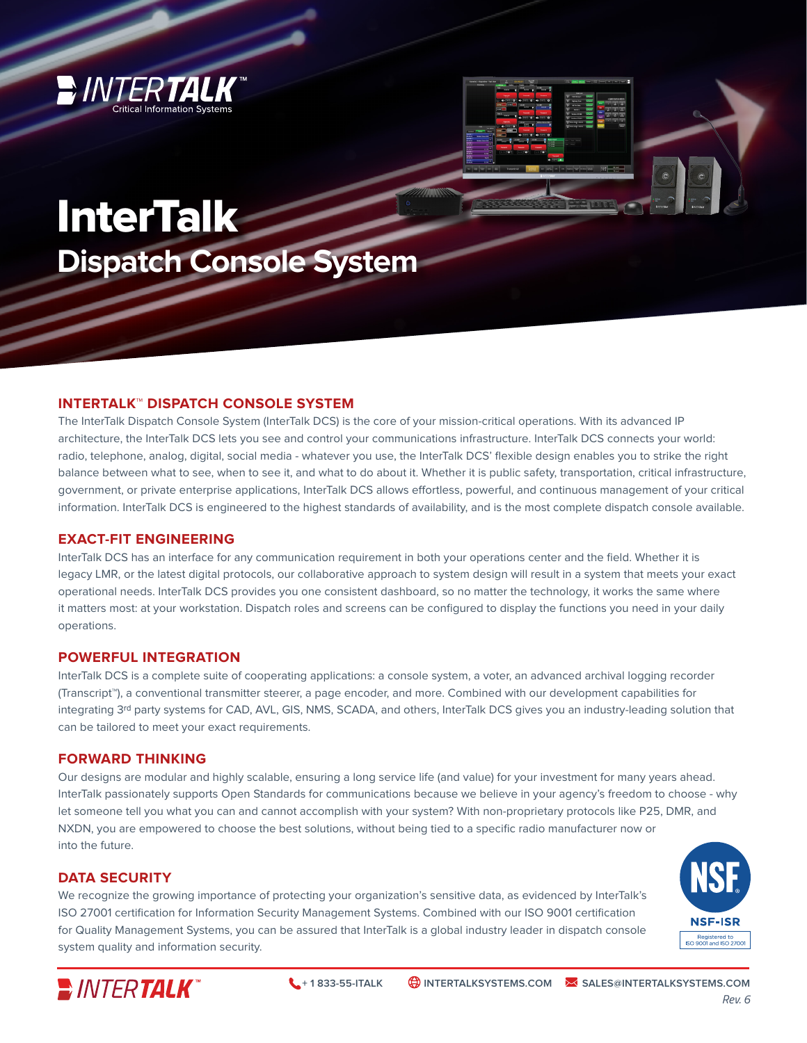

# **InterTalk Dispatch Console System**

## **INTERTALK™ DISPATCH CONSOLE SYSTEM**

The InterTalk Dispatch Console System (InterTalk DCS) is the core of your mission-critical operations. With its advanced IP architecture, the InterTalk DCS lets you see and control your communications infrastructure. InterTalk DCS connects your world: radio, telephone, analog, digital, social media - whatever you use, the InterTalk DCS' flexible design enables you to strike the right balance between what to see, when to see it, and what to do about it. Whether it is public safety, transportation, critical infrastructure, government, or private enterprise applications, InterTalk DCS allows effortless, powerful, and continuous management of your critical information. InterTalk DCS is engineered to the highest standards of availability, and is the most complete dispatch console available.

#### **EXACT-FIT ENGINEERING**

InterTalk DCS has an interface for any communication requirement in both your operations center and the field. Whether it is legacy LMR, or the latest digital protocols, our collaborative approach to system design will result in a system that meets your exact operational needs. InterTalk DCS provides you one consistent dashboard, so no matter the technology, it works the same where it matters most: at your workstation. Dispatch roles and screens can be configured to display the functions you need in your daily operations.

#### **POWERFUL INTEGRATION**

InterTalk DCS is a complete suite of cooperating applications: a console system, a voter, an advanced archival logging recorder (Transcript™), a conventional transmitter steerer, a page encoder, and more. Combined with our development capabilities for integrating 3rd party systems for CAD, AVL, GIS, NMS, SCADA, and others, InterTalk DCS gives you an industry-leading solution that can be tailored to meet your exact requirements.

### **FORWARD THINKING**

Our designs are modular and highly scalable, ensuring a long service life (and value) for your investment for many years ahead. InterTalk passionately supports Open Standards for communications because we believe in your agency's freedom to choose - why let someone tell you what you can and cannot accomplish with your system? With non-proprietary protocols like P25, DMR, and NXDN, you are empowered to choose the best solutions, without being tied to a specific radio manufacturer now or into the future.

### **DATA SECURITY**

We recognize the growing importance of protecting your organization's sensitive data, as evidenced by InterTalk's ISO 27001 certification for Information Security Management Systems. Combined with our ISO 9001 certification for Quality Management Systems, you can be assured that InterTalk is a global industry leader in dispatch console system quality and information security.